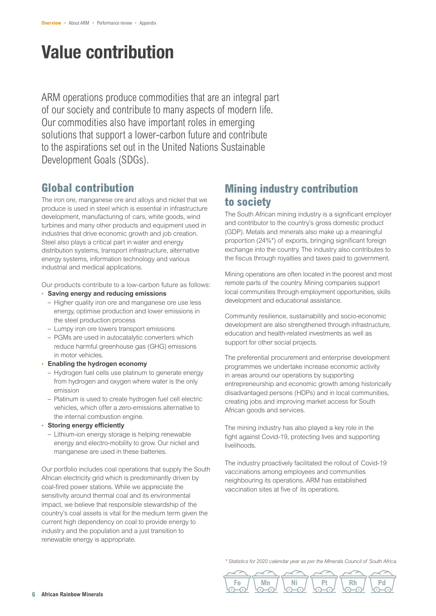# Value contribution

ARM operations produce commodities that are an integral part of our society and contribute to many aspects of modern life. Our commodities also have important roles in emerging solutions that support a lower-carbon future and contribute to the aspirations set out in the United Nations Sustainable Development Goals (SDGs).

# **Global contribution**

The iron ore, manganese ore and alloys and nickel that we produce is used in steel which is essential in infrastructure development, manufacturing of cars, white goods, wind turbines and many other products and equipment used in industries that drive economic growth and job creation. Steel also plays a critical part in water and energy distribution systems, transport infrastructure, alternative energy systems, information technology and various industrial and medical applications.

Our products contribute to a low-carbon future as follows:

- **Saving energy and reducing emissions**
	- Higher quality iron ore and manganese ore use less energy, optimise production and lower emissions in the steel production process
	- Lumpy iron ore lowers transport emissions
	- PGMs are used in autocatalytic converters which reduce harmful greenhouse gas (GHG) emissions in motor vehicles.
- **Enabling the hydrogen economy**
	- Hydrogen fuel cells use platinum to generate energy from hydrogen and oxygen where water is the only emission
	- Platinum is used to create hydrogen fuel cell electric vehicles, which offer a zero-emissions alternative to the internal combustion engine.
- **Storing energy efficiently**
	- Lithium-ion energy storage is helping renewable energy and electro-mobility to grow. Our nickel and manganese are used in these batteries.

Our portfolio includes coal operations that supply the South African electricity grid which is predominantly driven by coal-fired power stations. While we appreciate the sensitivity around thermal coal and its environmental impact, we believe that responsible stewardship of the country's coal assets is vital for the medium term given the current high dependency on coal to provide energy to industry and the population and a just transition to renewable energy is appropriate.

# **Mining industry contribution to society**

The South African mining industry is a significant employer and contributor to the country's gross domestic product (GDP). Metals and minerals also make up a meaningful proportion (24%\*) of exports, bringing significant foreign exchange into the country. The industry also contributes to the fiscus through royalties and taxes paid to government.

Mining operations are often located in the poorest and most remote parts of the country. Mining companies support local communities through employment opportunities, skills development and educational assistance.

Community resilience, sustainability and socio-economic development are also strengthened through infrastructure, education and health-related investments as well as support for other social projects.

The preferential procurement and enterprise development programmes we undertake increase economic activity in areas around our operations by supporting entrepreneurship and economic growth among historically disadvantaged persons (HDPs) and in local communities, creating jobs and improving market access for South African goods and services.

The mining industry has also played a key role in the fight against Covid-19, protecting lives and supporting livelihoods.

The industry proactively facilitated the rollout of Covid-19 vaccinations among employees and communities neighbouring its operations. ARM has established vaccination sites at five of its operations.

*\* Statistics for 2020 calendar year as per the Minerals Council of South Africa.*

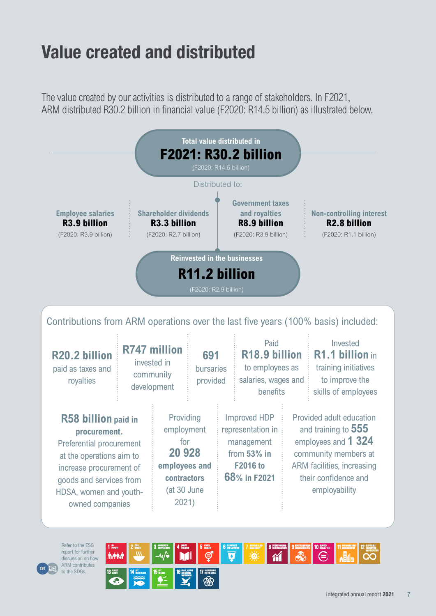# Value created and distributed

The value created by our activities is distributed to a range of stakeholders. In F2021, ARM distributed R30.2 billion in financial value (F2020: R14.5 billion) as illustrated below.



paid as taxes and royalties

**R58 billion paid in procurement.**  Preferential procurement at the operations aim to increase procurement of goods and services from HDSA, women and youthowned companies

**POVERTY ZERO**

**HUNGER GOOD HEALTH**

**AND WELL-BEING QUALITY**

**EDUCATION GENDER**

invested in

community development bursaries provided

> Providing employment for **20 928 employees and contractors** (at 30 June 2021)

to employees as salaries, wages and **benefits** 

Improved HDP representation in management from **53% in F2016 to 68% in F2021**

training initiatives to improve the skills of employees

Provided adult education and training to **555** employees and **1 324** community members at ARM facilities, increasing their confidence and employability



**EQUALITY CLEAN WATER AND SANITATION**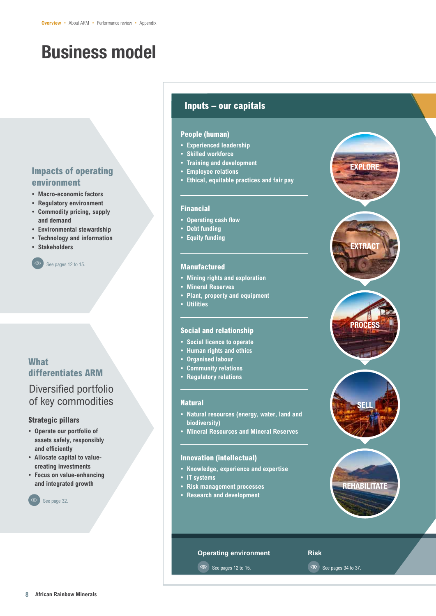# Business model

# **Impacts of operating environment**

- **Macro-economic factors**
- **Regulatory environment**
- **Commodity pricing, supply and demand**
- **Environmental stewardship**
- **Technology and information**
- **Stakeholders**



## **What differentiates ARM**

# Diversified portfolio of key commodities

#### **Strategic pillars**

- **Operate our portfolio of assets safely, responsibly and efficiently**
- **Allocate capital to valuecreating investments**
- **Focus on value-enhancing and integrated growth**



### **Inputs – our capitals**

#### **People (human)**

- **• Experienced leadership**
- **• Skilled workforce**
- **• Training and development**
- **• Employee relations**
- **• Ethical, equitable practices and fair pay**

#### **Financial**

- **Operating cash flow**
- **• Debt funding**
- **• Equity funding**

#### **Manufactured**

- **• Mining rights and exploration**
- **• Mineral Reserves**
- **• Plant, property and equipment**
- **• Utilities**

#### **Social and relationship**

- **• Social licence to operate**
- **• Human rights and ethics**
- **• Organised labour**
- **• Community relations**
- **• Regulatory relations**

#### **Natural**

- **Natural resources (energy, water, land and biodiversity)**
- **• Mineral Resources and Mineral Reserves**

#### **Innovation (intellectual)**

- **Knowledge, experience and expertise**
- **• IT systems**
- **• Risk management processes**
- **• Research and development**







**PROCESS** 







EXTRACT

EXPLORE